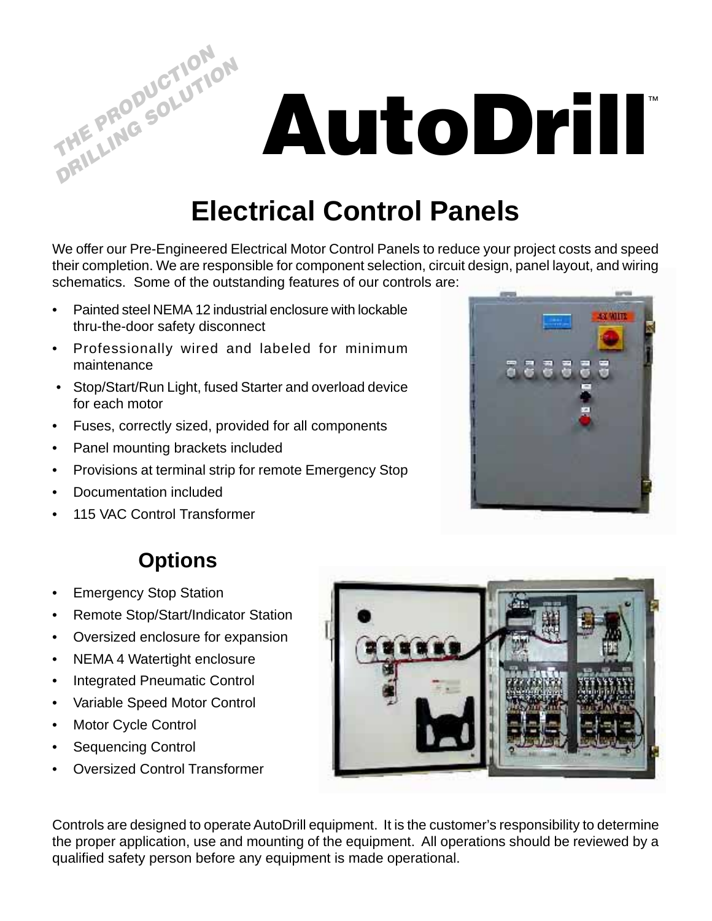**AutoDrill**™

## **Electrical Control Panels**

We offer our Pre-Engineered Electrical Motor Control Panels to reduce your project costs and speed their completion. We are responsible for component selection, circuit design, panel layout, and wiring schematics. Some of the outstanding features of our controls are:

- Painted steel NEMA 12 industrial enclosure with lockable thru-the-door safety disconnect
- Professionally wired and labeled for minimum maintenance
- Stop/Start/Run Light, fused Starter and overload device for each motor
- Fuses, correctly sized, provided for all components
- Panel mounting brackets included
- Provisions at terminal strip for remote Emergency Stop
- Documentation included

**THE PRODUCTION PRILLING SOLUTION** 

• 115 VAC Control Transformer



## **Options**

- Emergency Stop Station
- Remote Stop/Start/Indicator Station
- Oversized enclosure for expansion
- NEMA 4 Watertight enclosure
- Integrated Pneumatic Control
- Variable Speed Motor Control
- Motor Cycle Control
- Sequencing Control
- Oversized Control Transformer



Controls are designed to operate AutoDrill equipment. It is the customer's responsibility to determine the proper application, use and mounting of the equipment. All operations should be reviewed by a qualified safety person before any equipment is made operational.